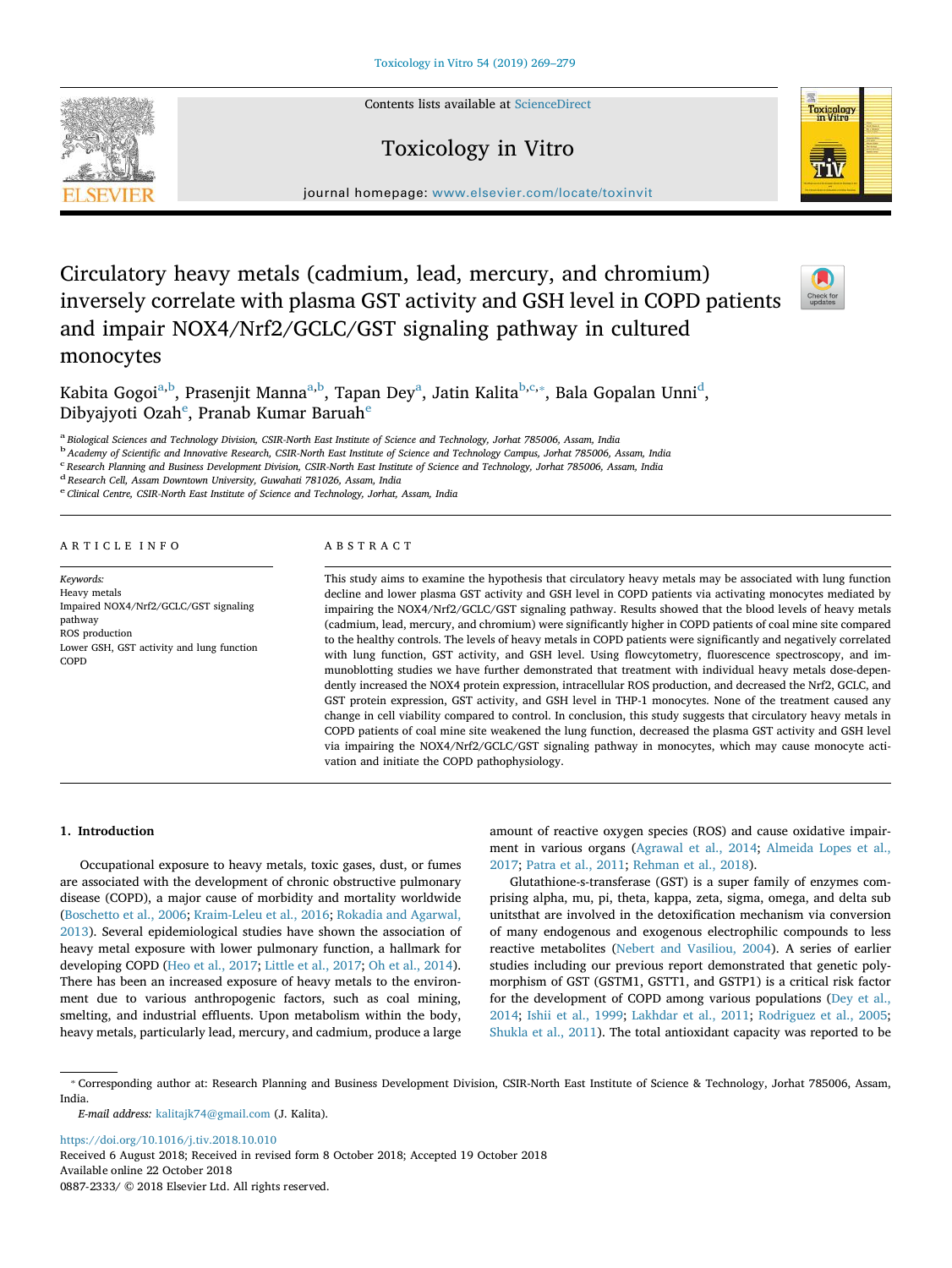Contents lists available at [ScienceDirect](http://www.sciencedirect.com/science/journal/08872333)

## Toxicology in Vitro



 $j<sub>i</sub>$  , where  $i<sub>i</sub>$  is the page of the complete toxinvitting the complete  $t<sub>i</sub>$ 

# Circulatory heavy metals (cadmium, lead, mercury, and chromium) inversely correlate with plasma GST activity and GSH level in COPD patients and impair NOX4/Nrf2/GCLC/GST signaling pathway in cultured monocytes



K[a](#page-0-0)bita Gogoi<sup>a[,b](#page-0-1)</sup>, Prasenjit Manna<sup>a,[b](#page-0-1)</sup>, Tapan Dey<sup>a</sup>, Jatin Kalita<sup>b[,c](#page-0-2),</sup>\*, Bala Gopalan Unni<sup>[d](#page-0-4)</sup>, Dibyajyoti Ozah<sup>[e](#page-0-5)</sup>, Pranab Kumar Baruah<sup>e</sup>

<span id="page-0-1"></span><span id="page-0-0"></span><sup>a</sup> Biological Sciences and Technology Division, CSIR-North East Institute of Science and Technology, Jorhat 785006, Assam, India<br><sup>b</sup> Academy of Scientific and Innovative Research, CSIR-North East Institute of Science and

<span id="page-0-2"></span>

<sup>c</sup> Research Planning and Business Development Division, CSIR-North East Institute of Science and Technology, Jorhat 785006, Assam, India

<span id="page-0-5"></span><span id="page-0-4"></span><sup>d</sup> Research Cell, Assam Downtown University, Guwahati 781026, Assam, India <sup>e</sup> Clinical Centre, CSIR-North East Institute of Science and Technology, Jorhat, Assam, India

#### ARTICLE INFO

Keywords: Heavy metals Impaired NOX4/Nrf2/GCLC/GST signaling pathway ROS production Lower GSH, GST activity and lung function COPD

## ABSTRACT

This study aims to examine the hypothesis that circulatory heavy metals may be associated with lung function decline and lower plasma GST activity and GSH level in COPD patients via activating monocytes mediated by impairing the NOX4/Nrf2/GCLC/GST signaling pathway. Results showed that the blood levels of heavy metals (cadmium, lead, mercury, and chromium) were significantly higher in COPD patients of coal mine site compared to the healthy controls. The levels of heavy metals in COPD patients were significantly and negatively correlated with lung function, GST activity, and GSH level. Using flowcytometry, fluorescence spectroscopy, and immunoblotting studies we have further demonstrated that treatment with individual heavy metals dose-dependently increased the NOX4 protein expression, intracellular ROS production, and decreased the Nrf2, GCLC, and GST protein expression, GST activity, and GSH level in THP-1 monocytes. None of the treatment caused any change in cell viability compared to control. In conclusion, this study suggests that circulatory heavy metals in COPD patients of coal mine site weakened the lung function, decreased the plasma GST activity and GSH level via impairing the NOX4/Nrf2/GCLC/GST signaling pathway in monocytes, which may cause monocyte activation and initiate the COPD pathophysiology.

#### 1. Introduction

Occupational exposure to heavy metals, toxic gases, dust, or fumes are associated with the development of chronic obstructive pulmonary disease (COPD), a major cause of morbidity and mortality worldwide ([Boschetto et al., 2006;](#page-10-0) [Kraim-Leleu et al., 2016](#page-10-1); [Rokadia and Agarwal,](#page-10-2) [2013\)](#page-10-2). Several epidemiological studies have shown the association of heavy metal exposure with lower pulmonary function, a hallmark for developing COPD ([Heo et al., 2017](#page-10-3); [Little et al., 2017](#page-10-4); [Oh et al., 2014](#page-10-5)). There has been an increased exposure of heavy metals to the environment due to various anthropogenic factors, such as coal mining, smelting, and industrial effluents. Upon metabolism within the body, heavy metals, particularly lead, mercury, and cadmium, produce a large amount of reactive oxygen species (ROS) and cause oxidative impairment in various organs [\(Agrawal et al., 2014;](#page-10-6) [Almeida Lopes et al.,](#page-10-7) [2017;](#page-10-7) [Patra et al., 2011](#page-10-8); [Rehman et al., 2018\)](#page-10-9).

Glutathione-s-transferase (GST) is a super family of enzymes comprising alpha, mu, pi, theta, kappa, zeta, sigma, omega, and delta sub unitsthat are involved in the detoxification mechanism via conversion of many endogenous and exogenous electrophilic compounds to less reactive metabolites ([Nebert and Vasiliou, 2004\)](#page-10-10). A series of earlier studies including our previous report demonstrated that genetic polymorphism of GST (GSTM1, GSTT1, and GSTP1) is a critical risk factor for the development of COPD among various populations [\(Dey et al.,](#page-10-11) [2014;](#page-10-11) [Ishii et al., 1999](#page-10-12); [Lakhdar et al., 2011](#page-10-13); [Rodriguez et al., 2005](#page-10-14); [Shukla et al., 2011\)](#page-10-15). The total antioxidant capacity was reported to be

E-mail address: [kalitajk74@gmail.com](mailto:kalitajk74@gmail.com) (J. Kalita).

<https://doi.org/10.1016/j.tiv.2018.10.010> Received 6 August 2018; Received in revised form 8 October 2018; Accepted 19 October 2018 Available online 22 October 2018 0887-2333/ © 2018 Elsevier Ltd. All rights reserved.



<span id="page-0-3"></span><sup>⁎</sup> Corresponding author at: Research Planning and Business Development Division, CSIR-North East Institute of Science & Technology, Jorhat 785006, Assam, India.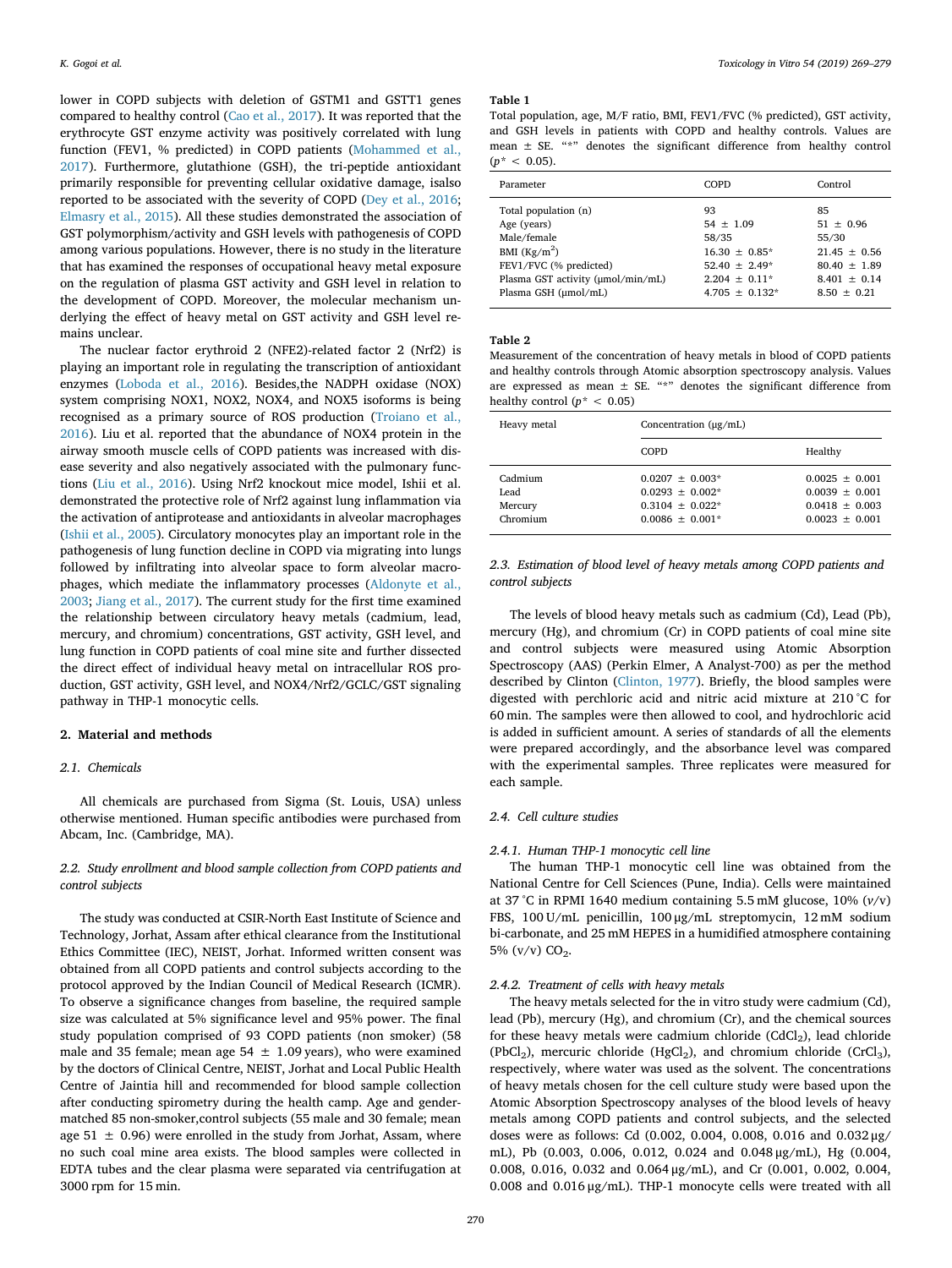lower in COPD subjects with deletion of GSTM1 and GSTT1 genes compared to healthy control ([Cao et al., 2017](#page-10-16)). It was reported that the erythrocyte GST enzyme activity was positively correlated with lung function (FEV1, % predicted) in COPD patients [\(Mohammed et al.,](#page-10-17) [2017\)](#page-10-17). Furthermore, glutathione (GSH), the tri-peptide antioxidant primarily responsible for preventing cellular oxidative damage, isalso reported to be associated with the severity of COPD [\(Dey et al., 2016](#page-10-18); [Elmasry et al., 2015\)](#page-10-19). All these studies demonstrated the association of GST polymorphism/activity and GSH levels with pathogenesis of COPD among various populations. However, there is no study in the literature that has examined the responses of occupational heavy metal exposure on the regulation of plasma GST activity and GSH level in relation to the development of COPD. Moreover, the molecular mechanism underlying the effect of heavy metal on GST activity and GSH level remains unclear.

The nuclear factor erythroid 2 (NFE2)-related factor 2 (Nrf2) is playing an important role in regulating the transcription of antioxidant enzymes [\(Loboda et al., 2016](#page-10-20)). Besides,the NADPH oxidase (NOX) system comprising NOX1, NOX2, NOX4, and NOX5 isoforms is being recognised as a primary source of ROS production [\(Troiano et al.,](#page-10-21) [2016\)](#page-10-21). Liu et al. reported that the abundance of NOX4 protein in the airway smooth muscle cells of COPD patients was increased with disease severity and also negatively associated with the pulmonary functions ([Liu et al., 2016](#page-10-22)). Using Nrf2 knockout mice model, Ishii et al. demonstrated the protective role of Nrf2 against lung inflammation via the activation of antiprotease and antioxidants in alveolar macrophages ([Ishii et al., 2005\)](#page-10-23). Circulatory monocytes play an important role in the pathogenesis of lung function decline in COPD via migrating into lungs followed by infiltrating into alveolar space to form alveolar macrophages, which mediate the inflammatory processes ([Aldonyte et al.,](#page-10-24) [2003;](#page-10-24) [Jiang et al., 2017\)](#page-10-25). The current study for the first time examined the relationship between circulatory heavy metals (cadmium, lead, mercury, and chromium) concentrations, GST activity, GSH level, and lung function in COPD patients of coal mine site and further dissected the direct effect of individual heavy metal on intracellular ROS production, GST activity, GSH level, and NOX4/Nrf2/GCLC/GST signaling pathway in THP-1 monocytic cells.

#### 2. Material and methods

#### 2.1. Chemicals

All chemicals are purchased from Sigma (St. Louis, USA) unless otherwise mentioned. Human specific antibodies were purchased from Abcam, Inc. (Cambridge, MA).

## 2.2. Study enrollment and blood sample collection from COPD patients and control subjects

The study was conducted at CSIR-North East Institute of Science and Technology, Jorhat, Assam after ethical clearance from the Institutional Ethics Committee (IEC), NEIST, Jorhat. Informed written consent was obtained from all COPD patients and control subjects according to the protocol approved by the Indian Council of Medical Research (ICMR). To observe a significance changes from baseline, the required sample size was calculated at 5% significance level and 95% power. The final study population comprised of 93 COPD patients (non smoker) (58 male and 35 female; mean age  $54 \pm 1.09$  years), who were examined by the doctors of Clinical Centre, NEIST, Jorhat and Local Public Health Centre of Jaintia hill and recommended for blood sample collection after conducting spirometry during the health camp. Age and gendermatched 85 non-smoker,control subjects (55 male and 30 female; mean age 51  $\pm$  0.96) were enrolled in the study from Jorhat, Assam, where no such coal mine area exists. The blood samples were collected in EDTA tubes and the clear plasma were separated via centrifugation at 3000 rpm for 15 min.

#### <span id="page-1-0"></span>Table 1

Total population, age, M/F ratio, BMI, FEV1/FVC (% predicted), GST activity, and GSH levels in patients with COPD and healthy controls. Values are mean  $\pm$  SE. "\*" denotes the significant difference from healthy control  $(p^* < 0.05)$ .

| Parameter                                                                                                                                                  | <b>COPD</b>                                                                                                     | Control                                                                                             |
|------------------------------------------------------------------------------------------------------------------------------------------------------------|-----------------------------------------------------------------------------------------------------------------|-----------------------------------------------------------------------------------------------------|
| Total population (n)<br>Age (years)<br>Male/female<br>BMI $(Kg/m2)$<br>FEV1/FVC (% predicted)<br>Plasma GST activity (umol/min/mL)<br>Plasma GSH (µmol/mL) | 93<br>$54 \pm 1.09$<br>58/35<br>$16.30 \pm 0.85^*$<br>$52.40 + 2.49*$<br>$2.204 + 0.11*$<br>$4.705 \pm 0.132$ * | 85<br>$51 \pm 0.96$<br>55/30<br>$21.45 + 0.56$<br>$80.40 + 1.89$<br>$8.401 + 0.14$<br>$8.50 + 0.21$ |
|                                                                                                                                                            |                                                                                                                 |                                                                                                     |

#### <span id="page-1-1"></span>Table 2

Measurement of the concentration of heavy metals in blood of COPD patients and healthy controls through Atomic absorption spectroscopy analysis. Values are expressed as mean ± SE. "\*" denotes the significant difference from healthy control ( $p^*$  < 0.05)

| Heavy metal                            | Concentration $(\mu g/mL)$                                                       |                                                                              |
|----------------------------------------|----------------------------------------------------------------------------------|------------------------------------------------------------------------------|
|                                        | <b>COPD</b>                                                                      | Healthy                                                                      |
| Cadmium<br>Lead<br>Mercury<br>Chromium | $0.0207 + 0.003*$<br>$0.0293 + 0.002*$<br>$0.3104 + 0.022*$<br>$0.0086 + 0.001*$ | $0.0025 + 0.001$<br>$0.0039 + 0.001$<br>$0.0418 + 0.003$<br>$0.0023 + 0.001$ |

2.3. Estimation of blood level of heavy metals among COPD patients and control subjects

The levels of blood heavy metals such as cadmium (Cd), Lead (Pb), mercury (Hg), and chromium (Cr) in COPD patients of coal mine site and control subjects were measured using Atomic Absorption Spectroscopy (AAS) (Perkin Elmer, A Analyst-700) as per the method described by Clinton ([Clinton, 1977\)](#page-10-26). Briefly, the blood samples were digested with perchloric acid and nitric acid mixture at 210 °C for 60 min. The samples were then allowed to cool, and hydrochloric acid is added in sufficient amount. A series of standards of all the elements were prepared accordingly, and the absorbance level was compared with the experimental samples. Three replicates were measured for each sample.

## 2.4. Cell culture studies

#### 2.4.1. Human THP-1 monocytic cell line

The human THP-1 monocytic cell line was obtained from the National Centre for Cell Sciences (Pune, India). Cells were maintained at 37 °C in RPMI 1640 medium containing 5.5 mM glucose, 10% (v/v) FBS, 100 U/mL penicillin, 100 μg/mL streptomycin, 12 mM sodium bi-carbonate, and 25 mM HEPES in a humidified atmosphere containing 5%  $(v/v)$  CO<sub>2</sub>.

#### 2.4.2. Treatment of cells with heavy metals

The heavy metals selected for the in vitro study were cadmium (Cd), lead (Pb), mercury (Hg), and chromium (Cr), and the chemical sources for these heavy metals were cadmium chloride  $(CdCl<sub>2</sub>)$ , lead chloride (PbCl<sub>2</sub>), mercuric chloride (HgCl<sub>2</sub>), and chromium chloride (CrCl<sub>3</sub>), respectively, where water was used as the solvent. The concentrations of heavy metals chosen for the cell culture study were based upon the Atomic Absorption Spectroscopy analyses of the blood levels of heavy metals among COPD patients and control subjects, and the selected doses were as follows: Cd (0.002, 0.004, 0.008, 0.016 and 0.032 μg/ mL), Pb (0.003, 0.006, 0.012, 0.024 and 0.048 μg/mL), Hg (0.004, 0.008, 0.016, 0.032 and 0.064 μg/mL), and Cr (0.001, 0.002, 0.004, 0.008 and 0.016 μg/mL). THP-1 monocyte cells were treated with all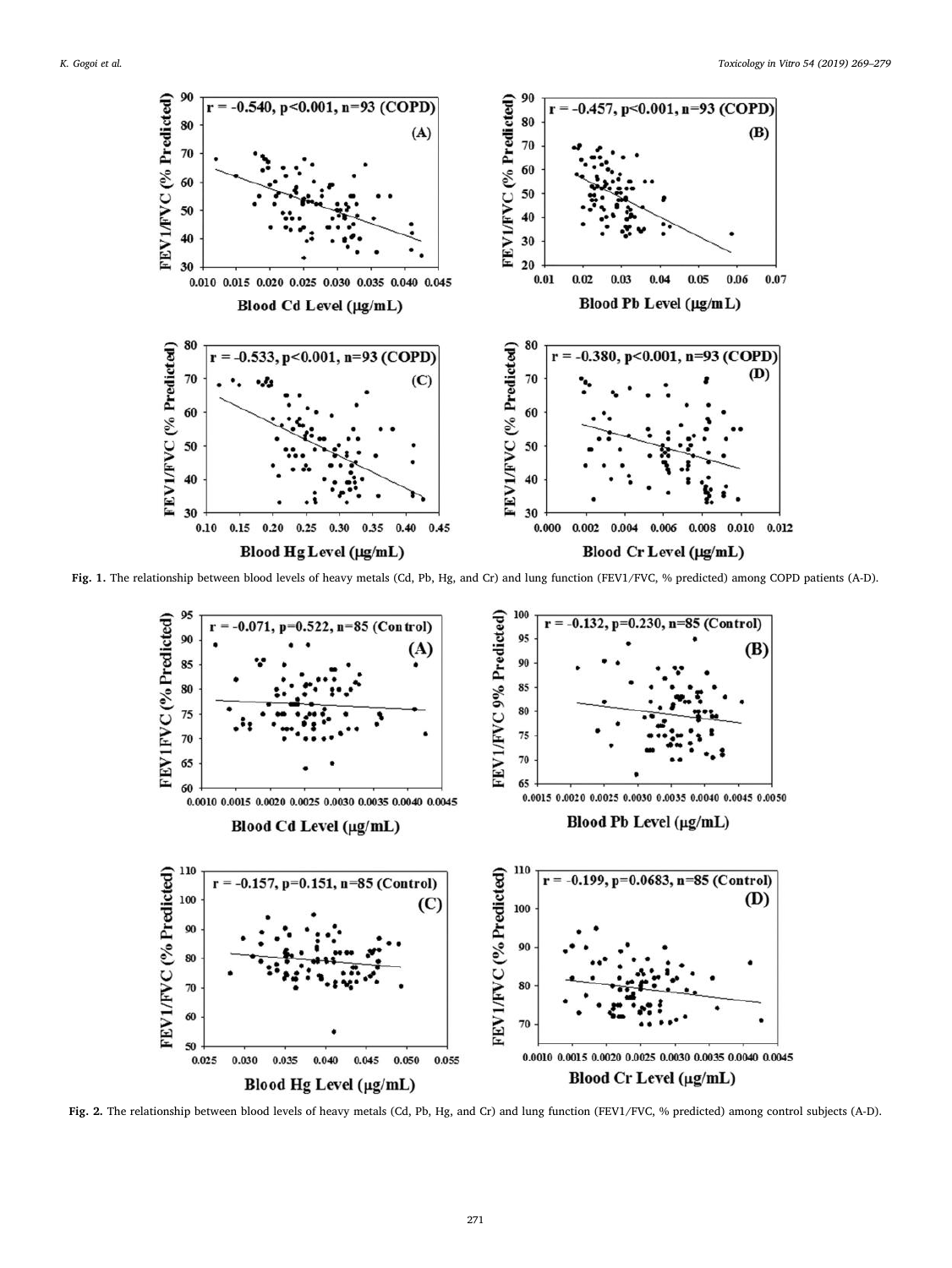<span id="page-2-0"></span>

<span id="page-2-1"></span>Fig. 1. The relationship between blood levels of heavy metals (Cd, Pb, Hg, and Cr) and lung function (FEV1/FVC, % predicted) among COPD patients (A-D).



Fig. 2. The relationship between blood levels of heavy metals (Cd, Pb, Hg, and Cr) and lung function (FEV1/FVC, % predicted) among control subjects (A-D).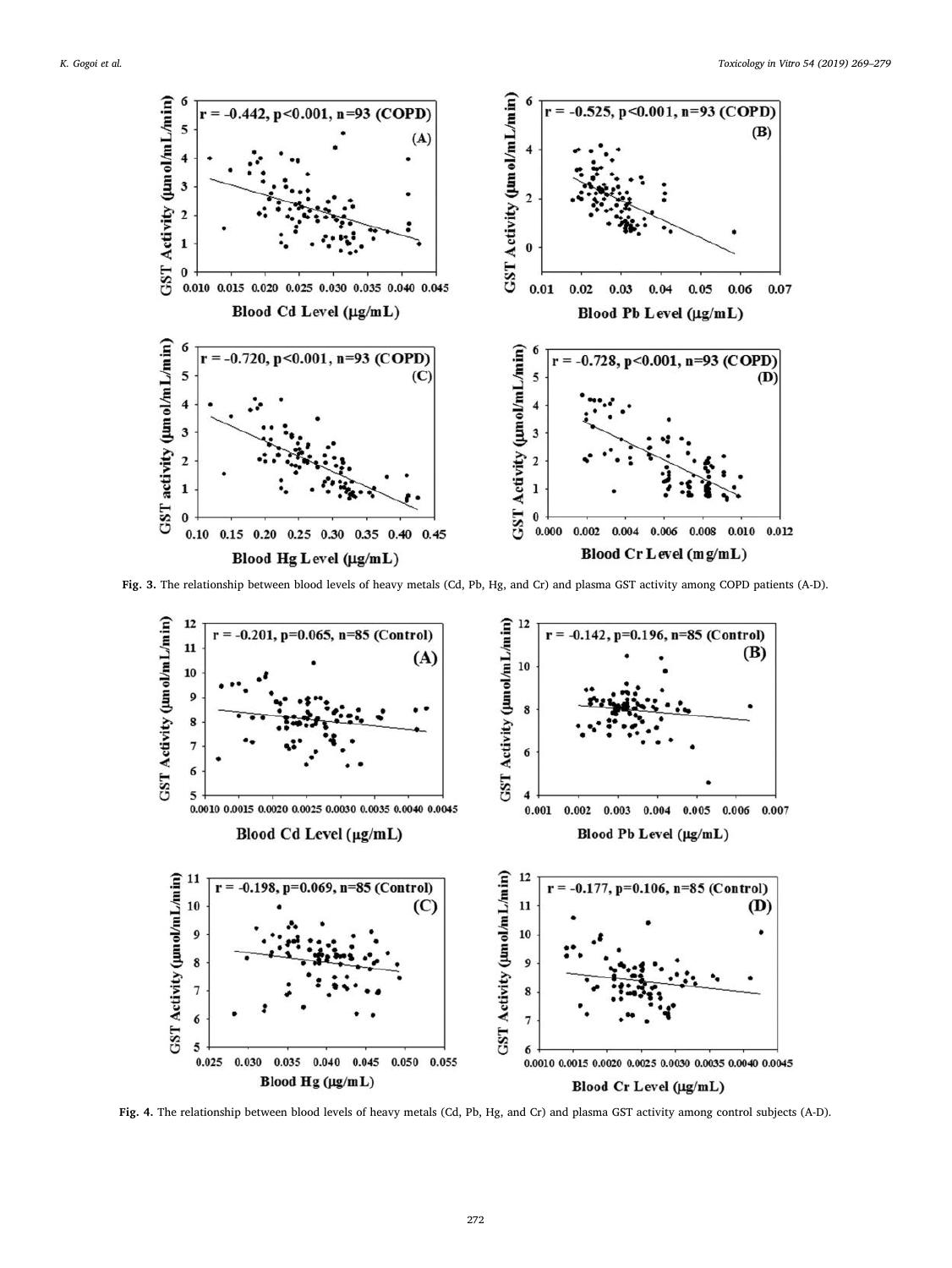<span id="page-3-0"></span>![](_page_3_Figure_2.jpeg)

<span id="page-3-1"></span>Fig. 3. The relationship between blood levels of heavy metals (Cd, Pb, Hg, and Cr) and plasma GST activity among COPD patients (A-D).

![](_page_3_Figure_4.jpeg)

Fig. 4. The relationship between blood levels of heavy metals (Cd, Pb, Hg, and Cr) and plasma GST activity among control subjects (A-D).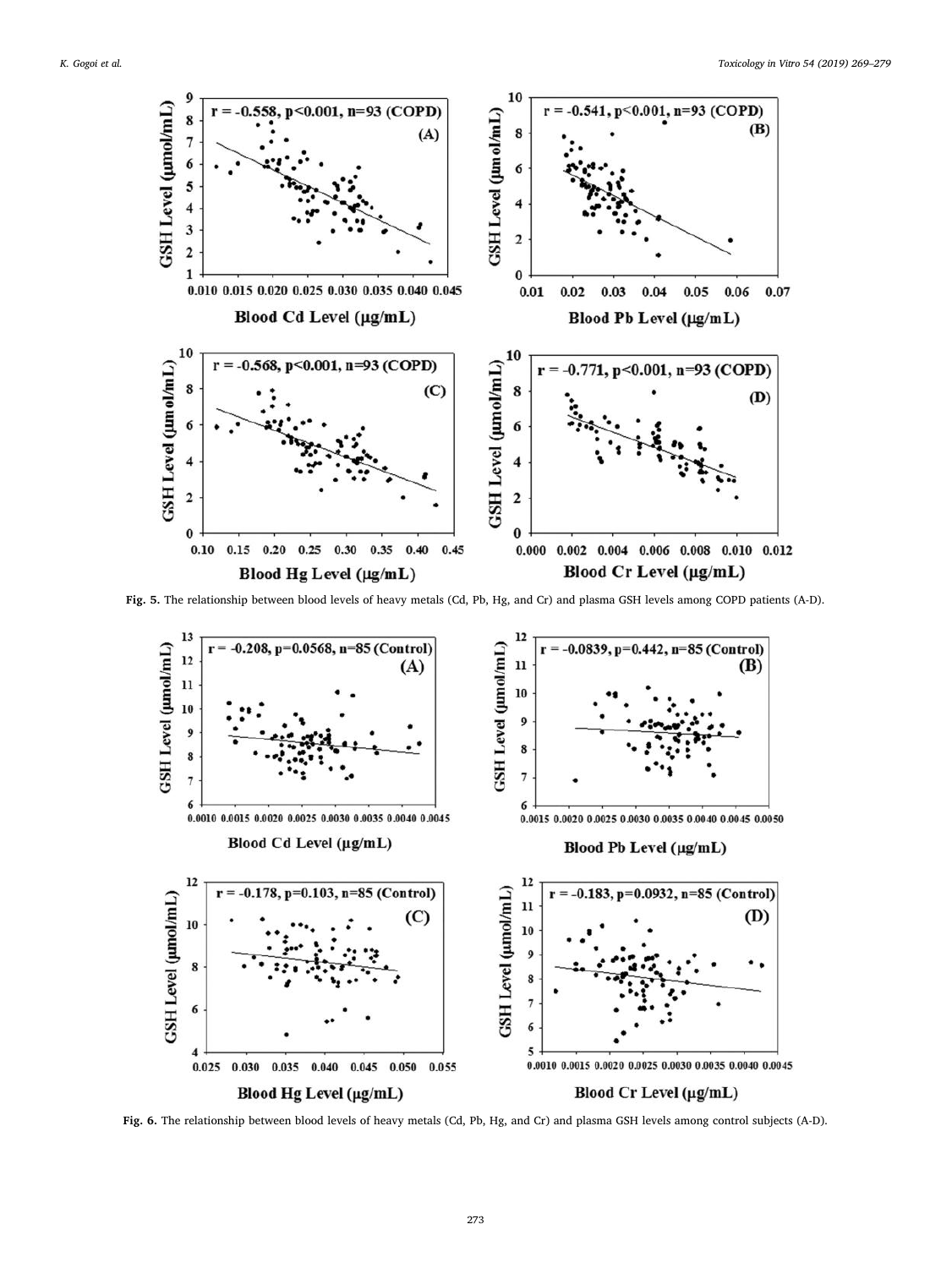![](_page_4_Figure_2.jpeg)

<span id="page-4-0"></span>Fig. 5. The relationship between blood levels of heavy metals (Cd, Pb, Hg, and Cr) and plasma GSH levels among COPD patients (A-D).

![](_page_4_Figure_4.jpeg)

Fig. 6. The relationship between blood levels of heavy metals (Cd, Pb, Hg, and Cr) and plasma GSH levels among control subjects (A-D).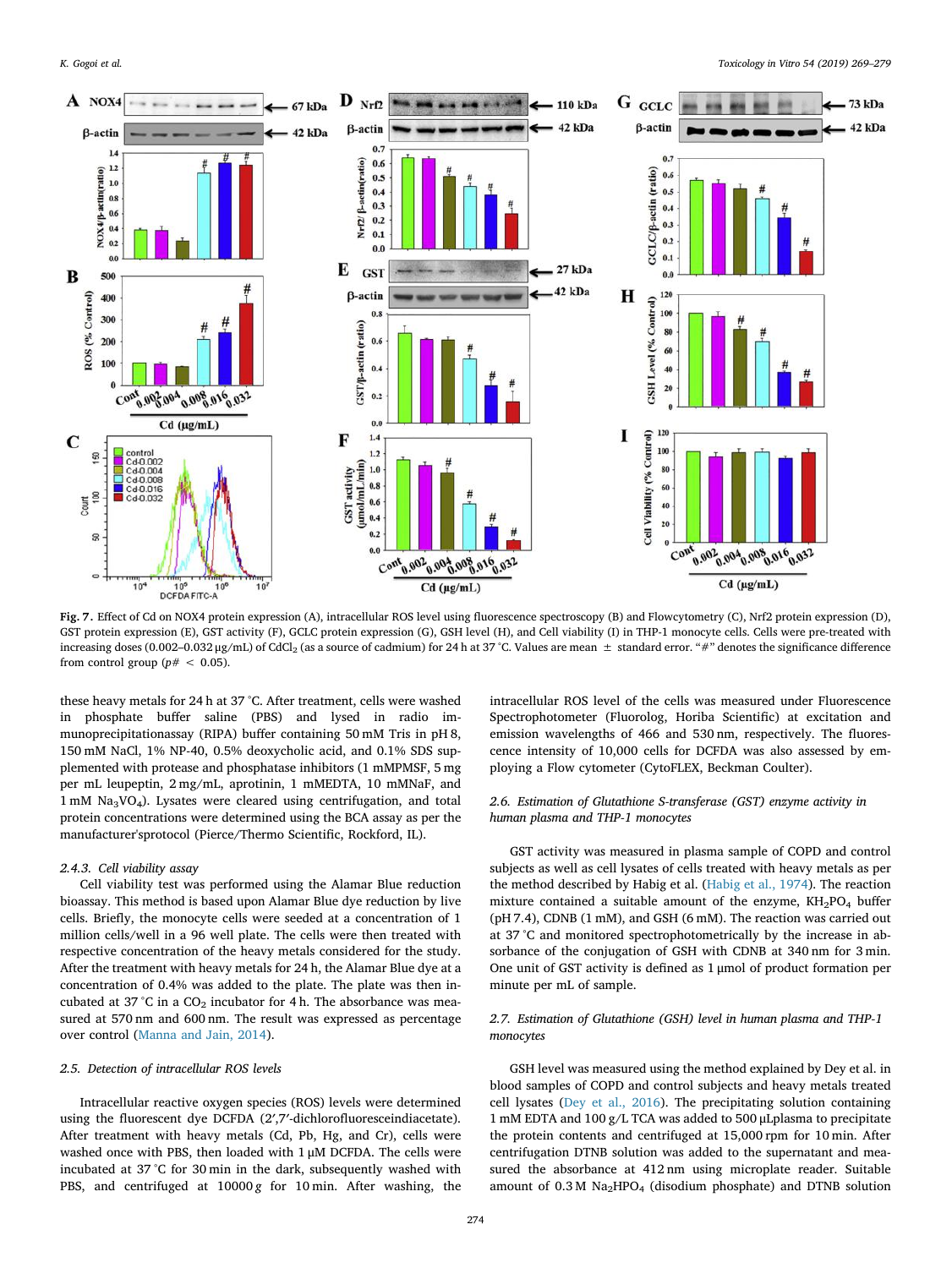<span id="page-5-0"></span>![](_page_5_Figure_2.jpeg)

Fig. 7. Effect of Cd on NOX4 protein expression (A), intracellular ROS level using fluorescence spectroscopy (B) and Flowcytometry (C), Nrf2 protein expression (D), GST protein expression (E), GST activity (F), GCLC protein expression (G), GSH level (H), and Cell viability (I) in THP-1 monocyte cells. Cells were pre-treated with increasing doses (0.002-0.032 μg/mL) of CdCl<sub>2</sub> (as a source of cadmium) for 24 h at 37 °C. Values are mean  $±$  standard error. "#" denotes the significance difference from control group ( $p# < 0.05$ ).

these heavy metals for 24 h at 37 °C. After treatment, cells were washed in phosphate buffer saline (PBS) and lysed in radio immunoprecipitationassay (RIPA) buffer containing 50 mM Tris in pH 8, 150 mM NaCl, 1% NP-40, 0.5% deoxycholic acid, and 0.1% SDS supplemented with protease and phosphatase inhibitors (1 mMPMSF, 5 mg per mL leupeptin, 2 mg/mL, aprotinin, 1 mMEDTA, 10 mMNaF, and 1 mM Na3VO4). Lysates were cleared using centrifugation, and total protein concentrations were determined using the BCA assay as per the manufacturer'sprotocol (Pierce/Thermo Scientific, Rockford, IL).

#### 2.4.3. Cell viability assay

Cell viability test was performed using the Alamar Blue reduction bioassay. This method is based upon Alamar Blue dye reduction by live cells. Briefly, the monocyte cells were seeded at a concentration of 1 million cells/well in a 96 well plate. The cells were then treated with respective concentration of the heavy metals considered for the study. After the treatment with heavy metals for 24 h, the Alamar Blue dye at a concentration of 0.4% was added to the plate. The plate was then incubated at 37 °C in a  $CO<sub>2</sub>$  incubator for 4 h. The absorbance was measured at 570 nm and 600 nm. The result was expressed as percentage over control ([Manna and Jain, 2014\)](#page-10-27).

#### 2.5. Detection of intracellular ROS levels

Intracellular reactive oxygen species (ROS) levels were determined using the fluorescent dye DCFDA (2′,7′-dichlorofluoresceindiacetate). After treatment with heavy metals (Cd, Pb, Hg, and Cr), cells were washed once with PBS, then loaded with 1 μM DCFDA. The cells were incubated at 37 °C for 30 min in the dark, subsequently washed with PBS, and centrifuged at  $10000 g$  for  $10 min$ . After washing, the

intracellular ROS level of the cells was measured under Fluorescence Spectrophotometer (Fluorolog, Horiba Scientific) at excitation and emission wavelengths of 466 and 530 nm, respectively. The fluorescence intensity of 10,000 cells for DCFDA was also assessed by employing a Flow cytometer (CytoFLEX, Beckman Coulter).

#### 2.6. Estimation of Glutathione S-transferase (GST) enzyme activity in human plasma and THP-1 monocytes

GST activity was measured in plasma sample of COPD and control subjects as well as cell lysates of cells treated with heavy metals as per the method described by Habig et al. [\(Habig et al., 1974\)](#page-10-28). The reaction mixture contained a suitable amount of the enzyme,  $KH_{2}PO_{4}$  buffer (pH 7.4), CDNB (1 mM), and GSH (6 mM). The reaction was carried out at 37 °C and monitored spectrophotometrically by the increase in absorbance of the conjugation of GSH with CDNB at 340 nm for 3 min. One unit of GST activity is defined as 1 μmol of product formation per minute per mL of sample.

## 2.7. Estimation of Glutathione (GSH) level in human plasma and THP-1 monocytes

GSH level was measured using the method explained by Dey et al. in blood samples of COPD and control subjects and heavy metals treated cell lysates [\(Dey et al., 2016](#page-10-18)). The precipitating solution containing 1 mM EDTA and 100 g/L TCA was added to 500 μLplasma to precipitate the protein contents and centrifuged at 15,000 rpm for 10 min. After centrifugation DTNB solution was added to the supernatant and measured the absorbance at 412 nm using microplate reader. Suitable amount of  $0.3 M$  Na<sub>2</sub>HPO<sub>4</sub> (disodium phosphate) and DTNB solution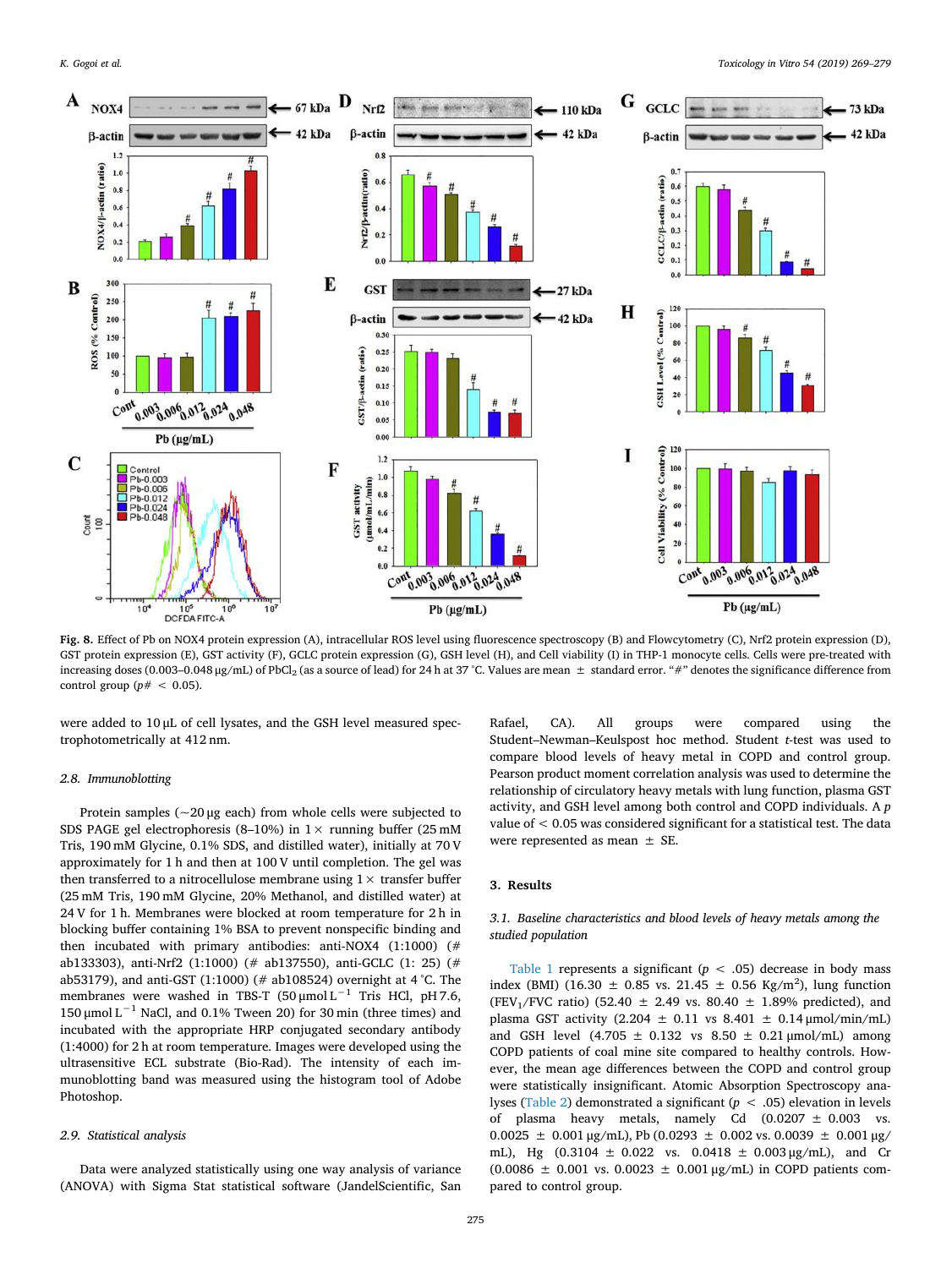<span id="page-6-0"></span>![](_page_6_Figure_2.jpeg)

Fig. 8. Effect of Pb on NOX4 protein expression (A), intracellular ROS level using fluorescence spectroscopy (B) and Flowcytometry (C), Nrf2 protein expression (D), GST protein expression (E), GST activity (F), GCLC protein expression (G), GSH level (H), and Cell viability (I) in THP-1 monocyte cells. Cells were pre-treated with increasing doses (0.003–0.048 µg/mL) of PbCl<sub>2</sub> (as a source of lead) for 24 h at 37 °C. Values are mean  $\pm$  standard error. "#" denotes the significance difference from control group ( $p# < 0.05$ ).

were added to 10 μL of cell lysates, and the GSH level measured spectrophotometrically at 412 nm.

## 2.8. Immunoblotting

Protein samples ( $\sim$ 20 μg each) from whole cells were subjected to SDS PAGE gel electrophoresis (8–10%) in  $1 \times$  running buffer (25 mM Tris, 190 mM Glycine, 0.1% SDS, and distilled water), initially at 70 V approximately for 1 h and then at 100 V until completion. The gel was then transferred to a nitrocellulose membrane using  $1 \times$  transfer buffer (25 mM Tris, 190 mM Glycine, 20% Methanol, and distilled water) at 24 V for 1 h. Membranes were blocked at room temperature for 2 h in blocking buffer containing 1% BSA to prevent nonspecific binding and then incubated with primary antibodies: anti-NOX4 (1:1000) (# ab133303), anti-Nrf2 (1:1000) (# ab137550), anti-GCLC (1: 25) (# ab53179), and anti-GST (1:1000) (# ab108524) overnight at 4 °C. The membranes were washed in TBS-T ( $50 \mu$ mol L<sup>-1</sup> Tris HCl, pH 7.6, 150 μmol L<sup>-1</sup> NaCl, and 0.1% Tween 20) for 30 min (three times) and incubated with the appropriate HRP conjugated secondary antibody (1:4000) for 2 h at room temperature. Images were developed using the ultrasensitive ECL substrate (Bio-Rad). The intensity of each immunoblotting band was measured using the histogram tool of Adobe Photoshop.

#### 2.9. Statistical analysis

Data were analyzed statistically using one way analysis of variance (ANOVA) with Sigma Stat statistical software (JandelScientific, San

Rafael, CA). All groups were compared using the Student–Newman–Keulspost hoc method. Student t-test was used to compare blood levels of heavy metal in COPD and control group. Pearson product moment correlation analysis was used to determine the relationship of circulatory heavy metals with lung function, plasma GST activity, and GSH level among both control and COPD individuals. A p value of < 0.05 was considered significant for a statistical test. The data were represented as mean ± SE.

#### 3. Results

## 3.1. Baseline characteristics and blood levels of heavy metals among the studied population

[Table 1](#page-1-0) represents a significant ( $p < .05$ ) decrease in body mass index (BMI) (16.30  $\pm$  0.85 vs. 21.45  $\pm$  0.56 Kg/m<sup>2</sup>), lung function (FEV<sub>1</sub>/FVC ratio) (52.40  $\pm$  2.49 vs. 80.40  $\pm$  1.89% predicted), and plasma GST activity (2.204  $\pm$  0.11 vs 8.401  $\pm$  0.14  $\mu$ mol/min/mL) and GSH level (4.705  $\pm$  0.132 vs 8.50  $\pm$  0.21 µmol/mL) among COPD patients of coal mine site compared to healthy controls. However, the mean age differences between the COPD and control group were statistically insignificant. Atomic Absorption Spectroscopy ana-lyses ([Table 2](#page-1-1)) demonstrated a significant ( $p < .05$ ) elevation in levels of plasma heavy metals, namely Cd  $(0.0207 \pm 0.003$  vs.  $0.0025 \pm 0.001 \,\mu$ g/mL), Pb (0.0293  $\pm$  0.002 vs. 0.0039  $\pm$  0.001  $\mu$ g/ mL), Hg  $(0.3104 \pm 0.022 \text{ vs. } 0.0418 \pm 0.003 \text{ µg/mL})$ , and Cr (0.0086 ± 0.001 vs. 0.0023 ± 0.001 μg/mL) in COPD patients compared to control group.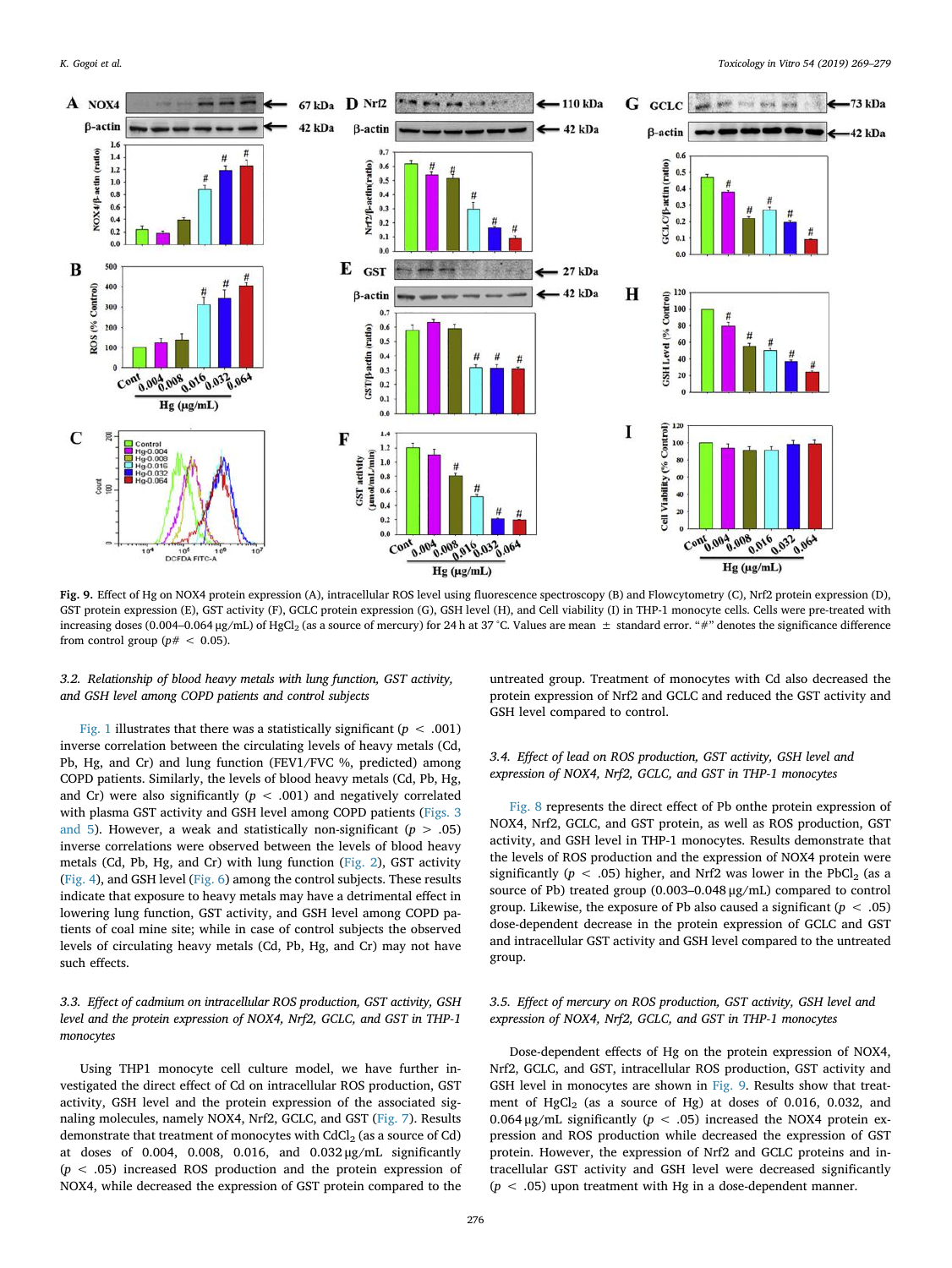<span id="page-7-0"></span>![](_page_7_Figure_2.jpeg)

Fig. 9. Effect of Hg on NOX4 protein expression (A), intracellular ROS level using fluorescence spectroscopy (B) and Flowcytometry (C), Nrf2 protein expression (D), GST protein expression (E), GST activity (F), GCLC protein expression (G), GSH level (H), and Cell viability (I) in THP-1 monocyte cells. Cells were pre-treated with increasing doses (0.004–0.064 µg/mL) of HgCl<sub>2</sub> (as a source of mercury) for 24 h at 37 °C. Values are mean  $\pm$  standard error. "#" denotes the significance difference from control group ( $p# < 0.05$ ).

## 3.2. Relationship of blood heavy metals with lung function, GST activity, and GSH level among COPD patients and control subjects

[Fig. 1](#page-2-0) illustrates that there was a statistically significant ( $p < .001$ ) inverse correlation between the circulating levels of heavy metals (Cd, Pb, Hg, and Cr) and lung function (FEV1/FVC %, predicted) among COPD patients. Similarly, the levels of blood heavy metals (Cd, Pb, Hg, and Cr) were also significantly ( $p < .001$ ) and negatively correlated with plasma GST activity and GSH level among COPD patients [\(Figs. 3](#page-3-0) [and 5](#page-3-0)). However, a weak and statistically non-significant ( $p > .05$ ) inverse correlations were observed between the levels of blood heavy metals (Cd, Pb, Hg, and Cr) with lung function [\(Fig. 2](#page-2-1)), GST activity ([Fig. 4](#page-3-1)), and GSH level [\(Fig. 6\)](#page-4-0) among the control subjects. These results indicate that exposure to heavy metals may have a detrimental effect in lowering lung function, GST activity, and GSH level among COPD patients of coal mine site; while in case of control subjects the observed levels of circulating heavy metals (Cd, Pb, Hg, and Cr) may not have such effects.

## 3.3. Effect of cadmium on intracellular ROS production, GST activity, GSH level and the protein expression of NOX4, Nrf2, GCLC, and GST in THP-1 monocytes

Using THP1 monocyte cell culture model, we have further investigated the direct effect of Cd on intracellular ROS production, GST activity, GSH level and the protein expression of the associated signaling molecules, namely NOX4, Nrf2, GCLC, and GST ([Fig. 7](#page-5-0)). Results demonstrate that treatment of monocytes with  $CdCl<sub>2</sub>$  (as a source of Cd) at doses of 0.004, 0.008, 0.016, and 0.032 μg/mL significantly  $(p < .05)$  increased ROS production and the protein expression of NOX4, while decreased the expression of GST protein compared to the untreated group. Treatment of monocytes with Cd also decreased the protein expression of Nrf2 and GCLC and reduced the GST activity and GSH level compared to control.

## 3.4. Effect of lead on ROS production, GST activity, GSH level and expression of NOX4, Nrf2, GCLC, and GST in THP-1 monocytes

[Fig. 8](#page-6-0) represents the direct effect of Pb onthe protein expression of NOX4, Nrf2, GCLC, and GST protein, as well as ROS production, GST activity, and GSH level in THP-1 monocytes. Results demonstrate that the levels of ROS production and the expression of NOX4 protein were significantly ( $p < .05$ ) higher, and Nrf2 was lower in the PbCl<sub>2</sub> (as a source of Pb) treated group (0.003–0.048 μg/mL) compared to control group. Likewise, the exposure of Pb also caused a significant ( $p < .05$ ) dose-dependent decrease in the protein expression of GCLC and GST and intracellular GST activity and GSH level compared to the untreated group.

## 3.5. Effect of mercury on ROS production, GST activity, GSH level and expression of NOX4, Nrf2, GCLC, and GST in THP-1 monocytes

Dose-dependent effects of Hg on the protein expression of NOX4, Nrf2, GCLC, and GST, intracellular ROS production, GST activity and GSH level in monocytes are shown in [Fig. 9.](#page-7-0) Results show that treatment of  $HgCl<sub>2</sub>$  (as a source of Hg) at doses of 0.016, 0.032, and 0.064 μg/mL significantly ( $p < .05$ ) increased the NOX4 protein expression and ROS production while decreased the expression of GST protein. However, the expression of Nrf2 and GCLC proteins and intracellular GST activity and GSH level were decreased significantly  $(p < .05)$  upon treatment with Hg in a dose-dependent manner.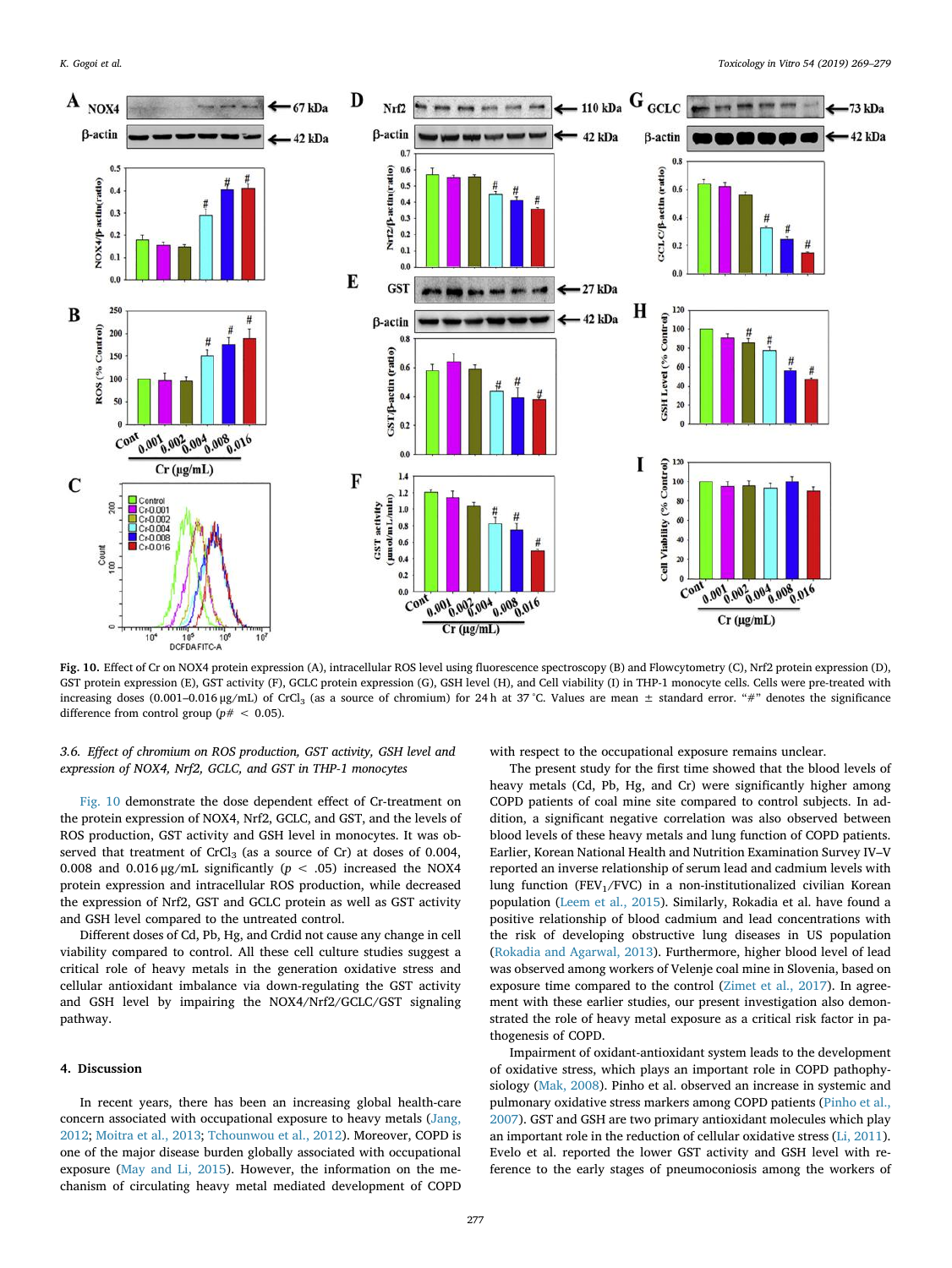<span id="page-8-0"></span>![](_page_8_Figure_2.jpeg)

Fig. 10. Effect of Cr on NOX4 protein expression (A), intracellular ROS level using fluorescence spectroscopy (B) and Flowcytometry (C), Nrf2 protein expression (D), GST protein expression (E), GST activity (F), GCLC protein expression (G), GSH level (H), and Cell viability (I) in THP-1 monocyte cells. Cells were pre-treated with increasing doses (0.001–0.016 µg/mL) of CrCl<sub>3</sub> (as a source of chromium) for 24 h at 37 °C. Values are mean  $\pm$  standard error. "#" denotes the significance difference from control group ( $p# < 0.05$ ).

## 3.6. Effect of chromium on ROS production, GST activity, GSH level and expression of NOX4, Nrf2, GCLC, and GST in THP-1 monocytes

[Fig. 10](#page-8-0) demonstrate the dose dependent effect of Cr-treatment on the protein expression of NOX4, Nrf2, GCLC, and GST, and the levels of ROS production, GST activity and GSH level in monocytes. It was observed that treatment of CrCl<sub>3</sub> (as a source of Cr) at doses of 0.004, 0.008 and 0.016  $\mu$ g/mL significantly ( $p < .05$ ) increased the NOX4 protein expression and intracellular ROS production, while decreased the expression of Nrf2, GST and GCLC protein as well as GST activity and GSH level compared to the untreated control.

Different doses of Cd, Pb, Hg, and Crdid not cause any change in cell viability compared to control. All these cell culture studies suggest a critical role of heavy metals in the generation oxidative stress and cellular antioxidant imbalance via down-regulating the GST activity and GSH level by impairing the NOX4/Nrf2/GCLC/GST signaling pathway.

## 4. Discussion

In recent years, there has been an increasing global health-care concern associated with occupational exposure to heavy metals ([Jang,](#page-10-29) [2012;](#page-10-29) [Moitra et al., 2013;](#page-10-30) [Tchounwou et al., 2012](#page-10-31)). Moreover, COPD is one of the major disease burden globally associated with occupational exposure ([May and Li, 2015\)](#page-10-32). However, the information on the mechanism of circulating heavy metal mediated development of COPD

with respect to the occupational exposure remains unclear.

The present study for the first time showed that the blood levels of heavy metals (Cd, Pb, Hg, and Cr) were significantly higher among COPD patients of coal mine site compared to control subjects. In addition, a significant negative correlation was also observed between blood levels of these heavy metals and lung function of COPD patients. Earlier, Korean National Health and Nutrition Examination Survey IV–V reported an inverse relationship of serum lead and cadmium levels with lung function (FEV<sub>1</sub>/FVC) in a non-institutionalized civilian Korean population ([Leem et al., 2015](#page-10-33)). Similarly, Rokadia et al. have found a positive relationship of blood cadmium and lead concentrations with the risk of developing obstructive lung diseases in US population ([Rokadia and Agarwal, 2013\)](#page-10-2). Furthermore, higher blood level of lead was observed among workers of Velenje coal mine in Slovenia, based on exposure time compared to the control ([Zimet et al., 2017\)](#page-10-34). In agreement with these earlier studies, our present investigation also demonstrated the role of heavy metal exposure as a critical risk factor in pathogenesis of COPD.

Impairment of oxidant-antioxidant system leads to the development of oxidative stress, which plays an important role in COPD pathophysiology [\(Mak, 2008](#page-10-35)). Pinho et al. observed an increase in systemic and pulmonary oxidative stress markers among COPD patients ([Pinho et al.,](#page-10-36) [2007\)](#page-10-36). GST and GSH are two primary antioxidant molecules which play an important role in the reduction of cellular oxidative stress ([Li, 2011](#page-10-37)). Evelo et al. reported the lower GST activity and GSH level with reference to the early stages of pneumoconiosis among the workers of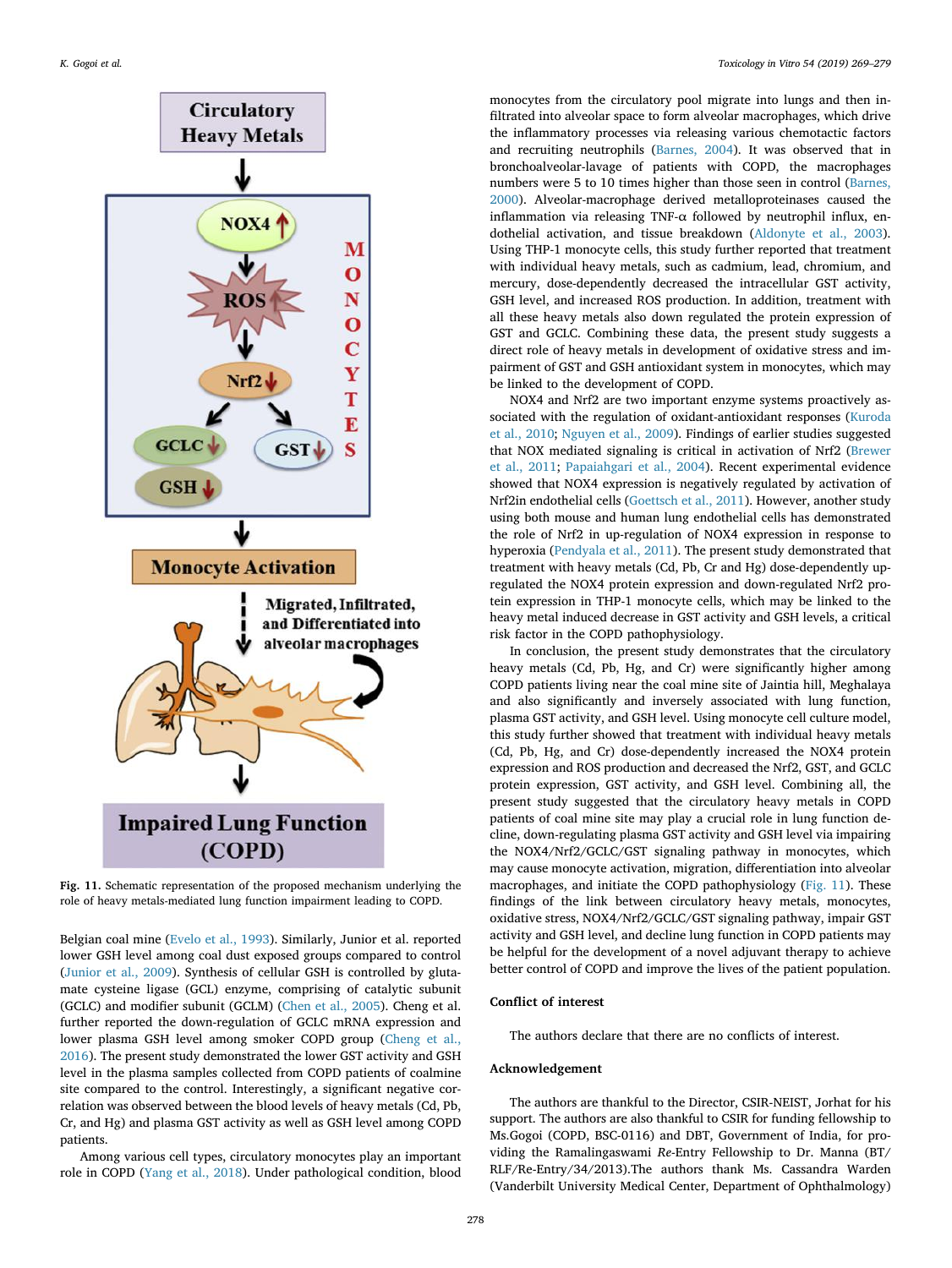<span id="page-9-0"></span>![](_page_9_Figure_1.jpeg)

Fig. 11. Schematic representation of the proposed mechanism underlying the role of heavy metals-mediated lung function impairment leading to COPD.

Belgian coal mine [\(Evelo et al., 1993\)](#page-10-38). Similarly, Junior et al. reported lower GSH level among coal dust exposed groups compared to control ([Junior et al., 2009\)](#page-10-39). Synthesis of cellular GSH is controlled by glutamate cysteine ligase (GCL) enzyme, comprising of catalytic subunit (GCLC) and modifier subunit (GCLM) ([Chen et al., 2005](#page-10-40)). Cheng et al. further reported the down-regulation of GCLC mRNA expression and lower plasma GSH level among smoker COPD group ([Cheng et al.,](#page-10-41) [2016\)](#page-10-41). The present study demonstrated the lower GST activity and GSH level in the plasma samples collected from COPD patients of coalmine site compared to the control. Interestingly, a significant negative correlation was observed between the blood levels of heavy metals (Cd, Pb, Cr, and Hg) and plasma GST activity as well as GSH level among COPD patients.

Among various cell types, circulatory monocytes play an important role in COPD [\(Yang et al., 2018\)](#page-10-42). Under pathological condition, blood

monocytes from the circulatory pool migrate into lungs and then infiltrated into alveolar space to form alveolar macrophages, which drive the inflammatory processes via releasing various chemotactic factors and recruiting neutrophils ([Barnes, 2004\)](#page-10-43). It was observed that in bronchoalveolar-lavage of patients with COPD, the macrophages numbers were 5 to 10 times higher than those seen in control ([Barnes,](#page-10-44) [2000\)](#page-10-44). Alveolar-macrophage derived metalloproteinases caused the inflammation via releasing TNF- $\alpha$  followed by neutrophil influx, endothelial activation, and tissue breakdown [\(Aldonyte et al., 2003](#page-10-24)). Using THP-1 monocyte cells, this study further reported that treatment with individual heavy metals, such as cadmium, lead, chromium, and mercury, dose-dependently decreased the intracellular GST activity, GSH level, and increased ROS production. In addition, treatment with all these heavy metals also down regulated the protein expression of GST and GCLC. Combining these data, the present study suggests a direct role of heavy metals in development of oxidative stress and impairment of GST and GSH antioxidant system in monocytes, which may be linked to the development of COPD.

NOX4 and Nrf2 are two important enzyme systems proactively associated with the regulation of oxidant-antioxidant responses [\(Kuroda](#page-10-45) [et al., 2010;](#page-10-45) [Nguyen et al., 2009\)](#page-10-46). Findings of earlier studies suggested that NOX mediated signaling is critical in activation of Nrf2 ([Brewer](#page-10-47) [et al., 2011;](#page-10-47) [Papaiahgari et al., 2004](#page-10-48)). Recent experimental evidence showed that NOX4 expression is negatively regulated by activation of Nrf2in endothelial cells ([Goettsch et al., 2011](#page-10-49)). However, another study using both mouse and human lung endothelial cells has demonstrated the role of Nrf2 in up-regulation of NOX4 expression in response to hyperoxia ([Pendyala et al., 2011](#page-10-50)). The present study demonstrated that treatment with heavy metals (Cd, Pb, Cr and Hg) dose-dependently upregulated the NOX4 protein expression and down-regulated Nrf2 protein expression in THP-1 monocyte cells, which may be linked to the heavy metal induced decrease in GST activity and GSH levels, a critical risk factor in the COPD pathophysiology.

In conclusion, the present study demonstrates that the circulatory heavy metals (Cd, Pb, Hg, and Cr) were significantly higher among COPD patients living near the coal mine site of Jaintia hill, Meghalaya and also significantly and inversely associated with lung function, plasma GST activity, and GSH level. Using monocyte cell culture model, this study further showed that treatment with individual heavy metals (Cd, Pb, Hg, and Cr) dose-dependently increased the NOX4 protein expression and ROS production and decreased the Nrf2, GST, and GCLC protein expression, GST activity, and GSH level. Combining all, the present study suggested that the circulatory heavy metals in COPD patients of coal mine site may play a crucial role in lung function decline, down-regulating plasma GST activity and GSH level via impairing the NOX4/Nrf2/GCLC/GST signaling pathway in monocytes, which may cause monocyte activation, migration, differentiation into alveolar macrophages, and initiate the COPD pathophysiology [\(Fig. 11](#page-9-0)). These findings of the link between circulatory heavy metals, monocytes, oxidative stress, NOX4/Nrf2/GCLC/GST signaling pathway, impair GST activity and GSH level, and decline lung function in COPD patients may be helpful for the development of a novel adjuvant therapy to achieve better control of COPD and improve the lives of the patient population.

## Conflict of interest

The authors declare that there are no conflicts of interest.

## Acknowledgement

The authors are thankful to the Director, CSIR-NEIST, Jorhat for his support. The authors are also thankful to CSIR for funding fellowship to Ms.Gogoi (COPD, BSC-0116) and DBT, Government of India, for providing the Ramalingaswami Re-Entry Fellowship to Dr. Manna (BT/ RLF/Re-Entry/34/2013).The authors thank Ms. Cassandra Warden (Vanderbilt University Medical Center, Department of Ophthalmology)